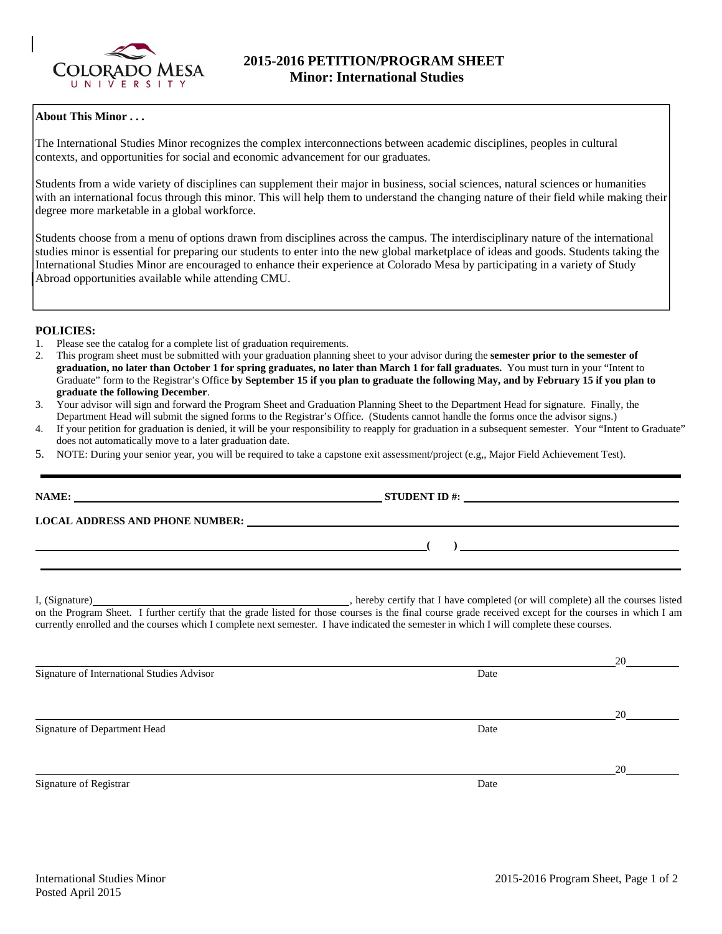

# **About This Minor . . .**

The International Studies Minor recognizes the complex interconnections between academic disciplines, peoples in cultural contexts, and opportunities for social and economic advancement for our graduates.

Students from a wide variety of disciplines can supplement their major in business, social sciences, natural sciences or humanities with an international focus through this minor. This will help them to understand the changing nature of their field while making their degree more marketable in a global workforce.

Students choose from a menu of options drawn from disciplines across the campus. The interdisciplinary nature of the international studies minor is essential for preparing our students to enter into the new global marketplace of ideas and goods. Students taking the International Studies Minor are encouraged to enhance their experience at Colorado Mesa by participating in a variety of Study Abroad opportunities available while attending CMU.

## **POLICIES:**

- 1. Please see the catalog for a complete list of graduation requirements.
- 2. This program sheet must be submitted with your graduation planning sheet to your advisor during the **semester prior to the semester of graduation, no later than October 1 for spring graduates, no later than March 1 for fall graduates.** You must turn in your "Intent to Graduate" form to the Registrar's Office **by September 15 if you plan to graduate the following May, and by February 15 if you plan to graduate the following December**.
- 3. Your advisor will sign and forward the Program Sheet and Graduation Planning Sheet to the Department Head for signature. Finally, the Department Head will submit the signed forms to the Registrar's Office. (Students cannot handle the forms once the advisor signs.)
- 4. If your petition for graduation is denied, it will be your responsibility to reapply for graduation in a subsequent semester. Your "Intent to Graduate" does not automatically move to a later graduation date.
- 5. NOTE: During your senior year, you will be required to take a capstone exit assessment/project (e.g,, Major Field Achievement Test).

|                                                                                                                                                                                                                                                                                                                       | STUDENT ID $\#$ :                                                                |                          |
|-----------------------------------------------------------------------------------------------------------------------------------------------------------------------------------------------------------------------------------------------------------------------------------------------------------------------|----------------------------------------------------------------------------------|--------------------------|
|                                                                                                                                                                                                                                                                                                                       |                                                                                  |                          |
|                                                                                                                                                                                                                                                                                                                       |                                                                                  | $\overline{\phantom{a}}$ |
| I, (Signature)<br>on the Program Sheet. I further certify that the grade listed for those courses is the final course grade received except for the courses in which I am<br>currently enrolled and the courses which I complete next semester. I have indicated the semester in which I will complete these courses. | , hereby certify that I have completed (or will complete) all the courses listed |                          |
| Signature of International Studies Advisor                                                                                                                                                                                                                                                                            | Date                                                                             | 20                       |
| Signature of Department Head                                                                                                                                                                                                                                                                                          | Date                                                                             | 20                       |
| Signature of Registrar                                                                                                                                                                                                                                                                                                | Date                                                                             | 20                       |